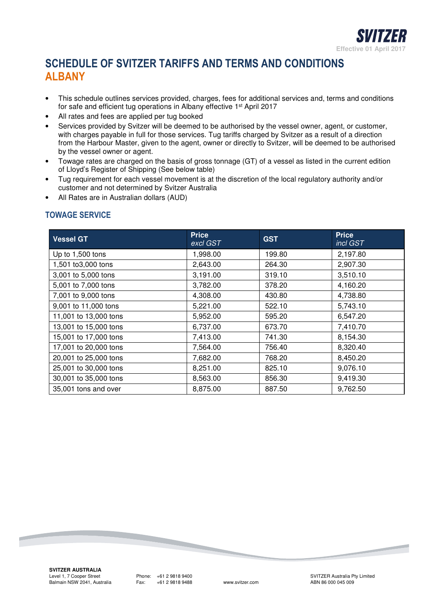

# **SCHEDULE OF SVITZER TARIFFS AND TERMS AND CONDITIONS ALBANY**

- This schedule outlines services provided, charges, fees for additional services and, terms and conditions for safe and efficient tug operations in Albany effective 1st April 2017
- All rates and fees are applied per tug booked
- Services provided by Svitzer will be deemed to be authorised by the vessel owner, agent, or customer, with charges payable in full for those services. Tug tariffs charged by Svitzer as a result of a direction from the Harbour Master, given to the agent, owner or directly to Svitzer, will be deemed to be authorised by the vessel owner or agent.
- Towage rates are charged on the basis of gross tonnage (GT) of a vessel as listed in the current edition of Lloyd's Register of Shipping (See below table)
- Tug requirement for each vessel movement is at the discretion of the local regulatory authority and/or customer and not determined by Svitzer Australia
- All Rates are in Australian dollars (AUD)

## **TOWAGE SERVICE**

| <b>Vessel GT</b>      | <b>Price</b><br>excl GST | <b>GST</b> | <b>Price</b><br>incl GST |
|-----------------------|--------------------------|------------|--------------------------|
| Up to 1,500 tons      | 1,998.00                 | 199.80     | 2,197.80                 |
| 1,501 to3,000 tons    | 2,643.00                 | 264.30     | 2,907.30                 |
| 3,001 to 5,000 tons   | 3,191.00                 | 319.10     | 3,510.10                 |
| 5,001 to 7,000 tons   | 3,782.00                 | 378.20     | 4,160.20                 |
| 7,001 to 9,000 tons   | 4,308.00                 | 430.80     | 4,738.80                 |
| 9,001 to 11,000 tons  | 5,221.00                 | 522.10     | 5,743.10                 |
| 11,001 to 13,000 tons | 5,952.00                 | 595.20     | 6,547.20                 |
| 13,001 to 15,000 tons | 6,737.00                 | 673.70     | 7,410.70                 |
| 15,001 to 17,000 tons | 7,413.00                 | 741.30     | 8,154.30                 |
| 17,001 to 20,000 tons | 7,564.00                 | 756.40     | 8,320.40                 |
| 20,001 to 25,000 tons | 7,682.00                 | 768.20     | 8,450.20                 |
| 25,001 to 30,000 tons | 8,251.00                 | 825.10     | 9,076.10                 |
| 30,001 to 35,000 tons | 8,563.00                 | 856.30     | 9,419.30                 |
| 35,001 tons and over  | 8,875.00                 | 887.50     | 9,762.50                 |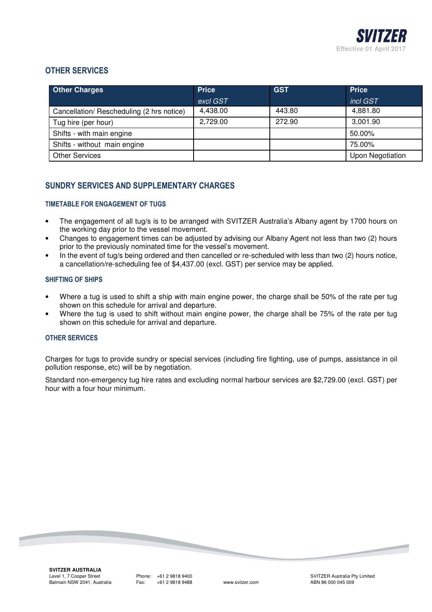

### **OTHER SERVICES**

| <b>Other Charges</b>                      | <b>Price</b> | <b>GST</b> | <b>Price</b>     |
|-------------------------------------------|--------------|------------|------------------|
|                                           | excl GST     |            | incl GST         |
| Cancellation/ Rescheduling (2 hrs notice) | 4,438.00     | 443.80     | 4,881.80         |
| Tug hire (per hour)                       | 2,729.00     | 272.90     | 3,001.90         |
| Shifts - with main engine                 |              |            | 50.00%           |
| Shifts - without main engine              |              |            | 75.00%           |
| <b>Other Services</b>                     |              |            | Upon Negotiation |

## **SUNDRY SERVICES AND SUPPLEMENTARY CHARGES**

#### **TIMETABLE FOR ENGAGEMENT OF TUGS**

- The engagement of all tug/s is to be arranged with SVITZER Australia's Albany agent by 1700 hours on the working day prior to the vessel movement.
- Changes to engagement times can be adjusted by advising our Albany Agent not less than two (2) hours prior to the previously nominated time for the vessel's movement.
- In the event of tug/s being ordered and then cancelled or re-scheduled with less than two (2) hours notice, a cancellation/re-scheduling fee of \$4,437.00 (excl. GST) per service may be applied.

#### **SHIFTING OF SHIPS**

- Where a tug is used to shift a ship with main engine power, the charge shall be 50% of the rate per tug shown on this schedule for arrival and departure.
- Where the tug is used to shift without main engine power, the charge shall be 75% of the rate per tug shown on this schedule for arrival and departure.

#### **OTHER SERVICES**

Charges for tugs to provide sundry or special services (including fire fighting, use of pumps, assistance in oil pollution response, etc) will be by negotiation.

Standard non-emergency tug hire rates and excluding normal harbour services are \$2,729.00 (excl. GST) per hour with a four hour minimum.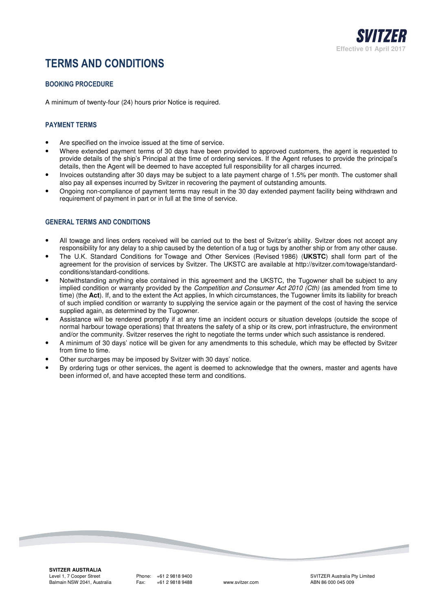

# **TERMS AND CONDITIONS**

#### **BOOKING PROCEDURE**

A minimum of twenty-four (24) hours prior Notice is required.

#### **PAYMENT TERMS**

- Are specified on the invoice issued at the time of service.
- Where extended payment terms of 30 days have been provided to approved customers, the agent is requested to provide details of the ship's Principal at the time of ordering services. If the Agent refuses to provide the principal's details, then the Agent will be deemed to have accepted full responsibility for all charges incurred.
- Invoices outstanding after 30 days may be subject to a late payment charge of 1.5% per month. The customer shall also pay all expenses incurred by Svitzer in recovering the payment of outstanding amounts.
- Ongoing non-compliance of payment terms may result in the 30 day extended payment facility being withdrawn and requirement of payment in part or in full at the time of service.

#### **GENERAL TERMS AND CONDITIONS**

- All towage and lines orders received will be carried out to the best of Svitzer's ability. Svitzer does not accept any responsibility for any delay to a ship caused by the detention of a tug or tugs by another ship or from any other cause.
- The U.K. Standard Conditions for Towage and Other Services (Revised 1986) (**UKSTC**) shall form part of the agreement for the provision of services by Svitzer. The UKSTC are available at http://svitzer.com/towage/standardconditions/standard-conditions.
- Notwithstanding anything else contained in this agreement and the UKSTC, the Tugowner shall be subject to any implied condition or warranty provided by the *Competition and Consumer Act 2010 (Cth)* (as amended from time to time) (the **Act**). If, and to the extent the Act applies, In which circumstances, the Tugowner limits its liability for breach of such implied condition or warranty to supplying the service again or the payment of the cost of having the service supplied again, as determined by the Tugowner.
- Assistance will be rendered promptly if at any time an incident occurs or situation develops (outside the scope of normal harbour towage operations) that threatens the safety of a ship or its crew, port infrastructure, the environment and/or the community. Svitzer reserves the right to negotiate the terms under which such assistance is rendered.
- A minimum of 30 days' notice will be given for any amendments to this schedule, which may be effected by Svitzer from time to time.
- Other surcharges may be imposed by Svitzer with 30 days' notice.
- By ordering tugs or other services, the agent is deemed to acknowledge that the owners, master and agents have been informed of, and have accepted these term and conditions.